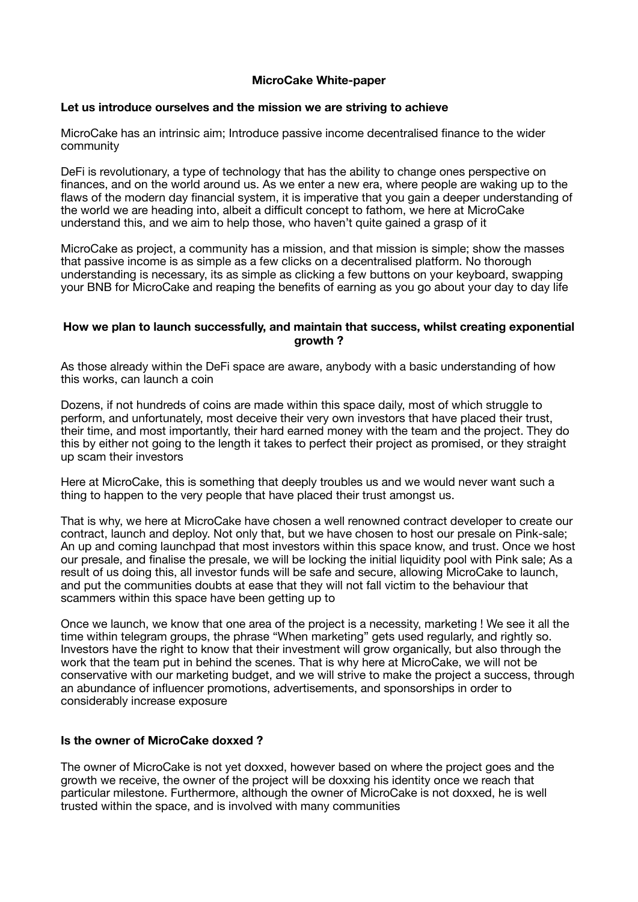# **MicroCake White-paper**

## **Let us introduce ourselves and the mission we are striving to achieve**

MicroCake has an intrinsic aim; Introduce passive income decentralised finance to the wider community

DeFi is revolutionary, a type of technology that has the ability to change ones perspective on finances, and on the world around us. As we enter a new era, where people are waking up to the flaws of the modern day financial system, it is imperative that you gain a deeper understanding of the world we are heading into, albeit a difficult concept to fathom, we here at MicroCake understand this, and we aim to help those, who haven't quite gained a grasp of it

MicroCake as project, a community has a mission, and that mission is simple; show the masses that passive income is as simple as a few clicks on a decentralised platform. No thorough understanding is necessary, its as simple as clicking a few buttons on your keyboard, swapping your BNB for MicroCake and reaping the benefits of earning as you go about your day to day life

## **How we plan to launch successfully, and maintain that success, whilst creating exponential growth ?**

As those already within the DeFi space are aware, anybody with a basic understanding of how this works, can launch a coin

Dozens, if not hundreds of coins are made within this space daily, most of which struggle to perform, and unfortunately, most deceive their very own investors that have placed their trust, their time, and most importantly, their hard earned money with the team and the project. They do this by either not going to the length it takes to perfect their project as promised, or they straight up scam their investors

Here at MicroCake, this is something that deeply troubles us and we would never want such a thing to happen to the very people that have placed their trust amongst us.

That is why, we here at MicroCake have chosen a well renowned contract developer to create our contract, launch and deploy. Not only that, but we have chosen to host our presale on Pink-sale; An up and coming launchpad that most investors within this space know, and trust. Once we host our presale, and finalise the presale, we will be locking the initial liquidity pool with Pink sale; As a result of us doing this, all investor funds will be safe and secure, allowing MicroCake to launch, and put the communities doubts at ease that they will not fall victim to the behaviour that scammers within this space have been getting up to

Once we launch, we know that one area of the project is a necessity, marketing ! We see it all the time within telegram groups, the phrase "When marketing" gets used regularly, and rightly so. Investors have the right to know that their investment will grow organically, but also through the work that the team put in behind the scenes. That is why here at MicroCake, we will not be conservative with our marketing budget, and we will strive to make the project a success, through an abundance of influencer promotions, advertisements, and sponsorships in order to considerably increase exposure

## **Is the owner of MicroCake doxxed ?**

The owner of MicroCake is not yet doxxed, however based on where the project goes and the growth we receive, the owner of the project will be doxxing his identity once we reach that particular milestone. Furthermore, although the owner of MicroCake is not doxxed, he is well trusted within the space, and is involved with many communities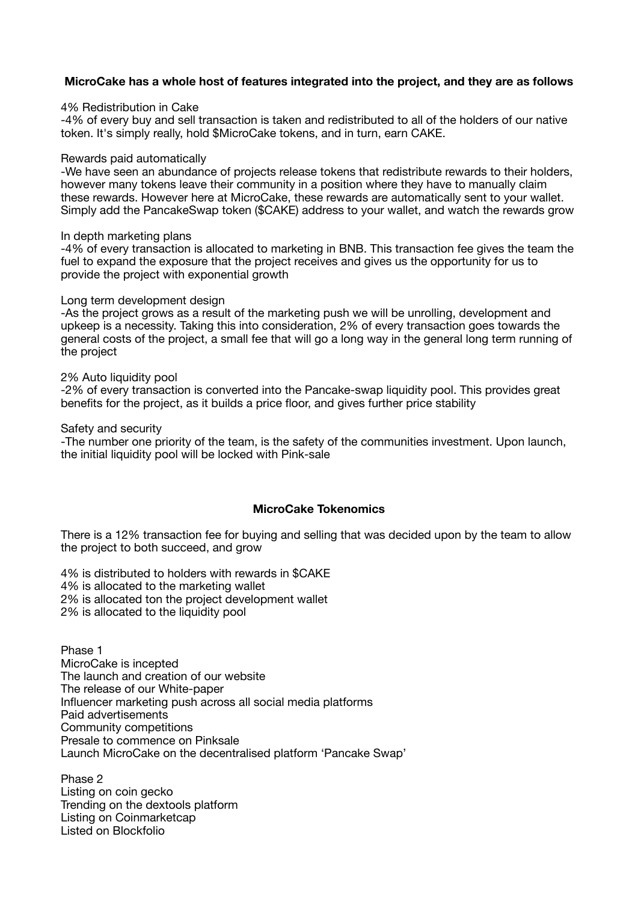# **MicroCake has a whole host of features integrated into the project, and they are as follows**

#### 4% Redistribution in Cake

-4% of every buy and sell transaction is taken and redistributed to all of the holders of our native token. It's simply really, hold \$MicroCake tokens, and in turn, earn CAKE.

#### Rewards paid automatically

-We have seen an abundance of projects release tokens that redistribute rewards to their holders, however many tokens leave their community in a position where they have to manually claim these rewards. However here at MicroCake, these rewards are automatically sent to your wallet. Simply add the PancakeSwap token (\$CAKE) address to your wallet, and watch the rewards grow

#### In depth marketing plans

-4% of every transaction is allocated to marketing in BNB. This transaction fee gives the team the fuel to expand the exposure that the project receives and gives us the opportunity for us to provide the project with exponential growth

#### Long term development design

-As the project grows as a result of the marketing push we will be unrolling, development and upkeep is a necessity. Taking this into consideration, 2% of every transaction goes towards the general costs of the project, a small fee that will go a long way in the general long term running of the project

#### 2% Auto liquidity pool

-2% of every transaction is converted into the Pancake-swap liquidity pool. This provides great benefits for the project, as it builds a price floor, and gives further price stability

Safety and security

-The number one priority of the team, is the safety of the communities investment. Upon launch, the initial liquidity pool will be locked with Pink-sale

## **MicroCake Tokenomics**

There is a 12% transaction fee for buying and selling that was decided upon by the team to allow the project to both succeed, and grow

4% is distributed to holders with rewards in \$CAKE 4% is allocated to the marketing wallet

- 2% is allocated ton the project development wallet
- 2% is allocated to the liquidity pool

Phase 1 MicroCake is incepted The launch and creation of our website The release of our White-paper Influencer marketing push across all social media platforms Paid advertisements Community competitions Presale to commence on Pinksale Launch MicroCake on the decentralised platform 'Pancake Swap'

Phase 2 Listing on coin gecko Trending on the dextools platform Listing on Coinmarketcap Listed on Blockfolio